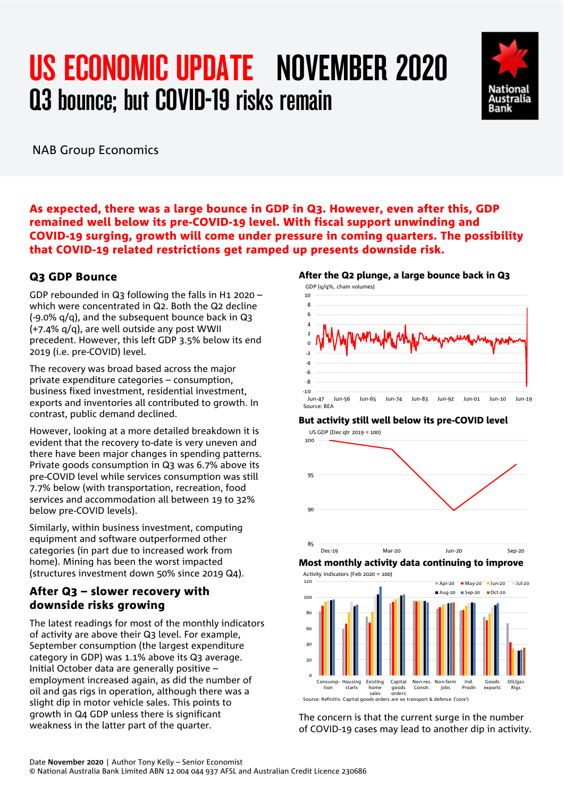# US ECONOMIC UPDATE NOVEMBER 2020 Q3 bounce; but COVID-19 risks remain



NAB Group Economics

As expected, there was a large bounce in GDP in Q3. However, even after this, GDP remained well below its pre-COVID-19 level. With fiscal support unwinding and COVID-19 surging, growth will come under pressure in coming quarters. The possibility that COVID-19 related restrictions get ramped up presents downside risk.

### Q3 GDP Bounce

GDP rebounded in Q3 following the falls in H1 2020 – which were concentrated in Q2. Both the Q2 decline (-9.0% q/q), and the subsequent bounce back in Q3 (+7.4% q/q), are well outside any post WWII precedent. However, this left GDP 3.5% below its end 2019 (i.e. pre-COVID) level.

The recovery was broad based across the major private expenditure categories – consumption, business fixed investment, residential investment, exports and inventories all contributed to growth. In contrast, public demand declined.

However, looking at a more detailed breakdown it is evident that the recovery to-date is very uneven and there have been major changes in spending patterns. Private goods consumption in Q3 was 6.7% above its pre-COVID level while services consumption was still 7.7% below (with transportation, recreation, food services and accommodation all between 19 to 32% below pre-COVID levels).

Similarly, within business investment, computing equipment and software outperformed other categories (in part due to increased work from home). Mining has been the worst impacted (structures investment down 50% since 2019 Q4).

### After Q3 – slower recovery with downside risks growing

The latest readings for most of the monthly indicators of activity are above their Q3 level. For example, September consumption (the largest expenditure category in GDP) was 1.1% above its Q3 average. Initial October data are generally positive – employment increased again, as did the number of oil and gas rigs in operation, although there was a slight dip in motor vehicle sales. This points to growth in Q4 GDP unless there is significant weakness in the latter part of the quarter.

### After the Q2 plunge, a large bounce back in Q3



### But activity still well below its pre-COVID level







The concern is that the current surge in the number of COVID-19 cases may lead to another dip in activity.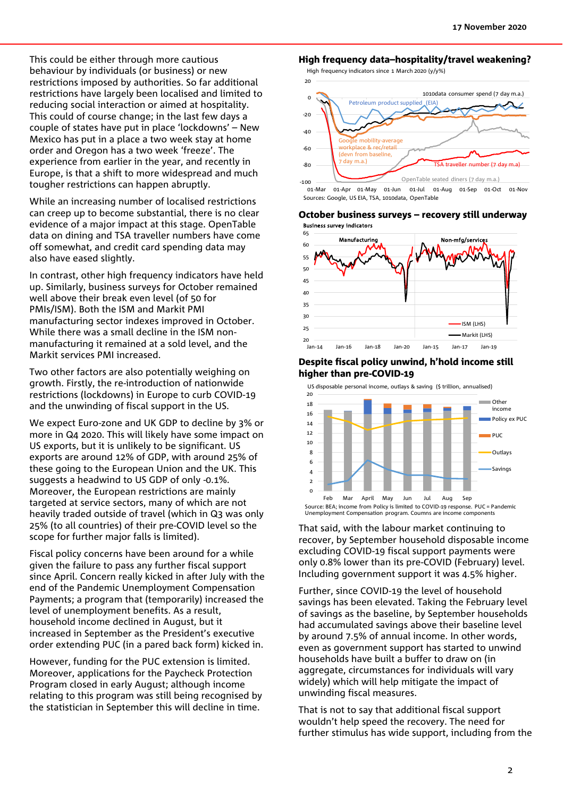This could be either through more cautious behaviour by individuals (or business) or new restrictions imposed by authorities. So far additional restrictions have largely been localised and limited to reducing social interaction or aimed at hospitality. This could of course change; in the last few days a couple of states have put in place 'lockdowns' – New Mexico has put in a place a two week stay at home order and Oregon has a two week 'freeze'. The experience from earlier in the year, and recently in Europe, is that a shift to more widespread and much tougher restrictions can happen abruptly.

While an increasing number of localised restrictions can creep up to become substantial, there is no clear evidence of a major impact at this stage. OpenTable data on dining and TSA traveller numbers have come off somewhat, and credit card spending data may also have eased slightly.

In contrast, other high frequency indicators have held up. Similarly, business surveys for October remained well above their break even level (of 50 for PMIs/ISM). Both the ISM and Markit PMI manufacturing sector indexes improved in October. While there was a small decline in the ISM nonmanufacturing it remained at a sold level, and the Markit services PMI increased.

Two other factors are also potentially weighing on growth. Firstly, the re-introduction of nationwide restrictions (lockdowns) in Europe to curb COVID-19 and the unwinding of fiscal support in the US.

We expect Euro-zone and UK GDP to decline by 3% or more in Q4 2020. This will likely have some impact on US exports, but it is unlikely to be significant. US exports are around 12% of GDP, with around 25% of these going to the European Union and the UK. This suggests a headwind to US GDP of only -0.1%. Moreover, the European restrictions are mainly targeted at service sectors, many of which are not heavily traded outside of travel (which in Q3 was only 25% (to all countries) of their pre-COVID level so the scope for further major falls is limited).

Fiscal policy concerns have been around for a while given the failure to pass any further fiscal support since April. Concern really kicked in after July with the end of the Pandemic Unemployment Compensation Payments; a program that (temporarily) increased the level of unemployment benefits. As a result, household income declined in August, but it increased in September as the President's executive order extending PUC (in a pared back form) kicked in.

However, funding for the PUC extension is limited. Moreover, applications for the Paycheck Protection Program closed in early August; although income relating to this program was still being recognised by the statistician in September this will decline in time.

### High frequency data–hospitality/travel weakening?

 $20$ High frequency indicators since 1 March 2020 (y/y%)



01-Mar 01-Apr 01-May 01-Jun 01-Jul 01-Aug 01-Sep 01-Oct 01-Nov Sources: Google, US EIA, TSA, 1010data, OpenTable





#### Despite fiscal policy unwind, h'hold income still higher than pre-COVID-19



That said, with the labour market continuing to recover, by September household disposable income excluding COVID-19 fiscal support payments were only 0.8% lower than its pre-COVID (February) level. Including government support it was 4.5% higher.

Further, since COVID-19 the level of household savings has been elevated. Taking the February level of savings as the baseline, by September households had accumulated savings above their baseline level by around 7.5% of annual income. In other words, even as government support has started to unwind households have built a buffer to draw on (in aggregate, circumstances for individuals will vary widely) which will help mitigate the impact of unwinding fiscal measures.

That is not to say that additional fiscal support wouldn't help speed the recovery. The need for further stimulus has wide support, including from the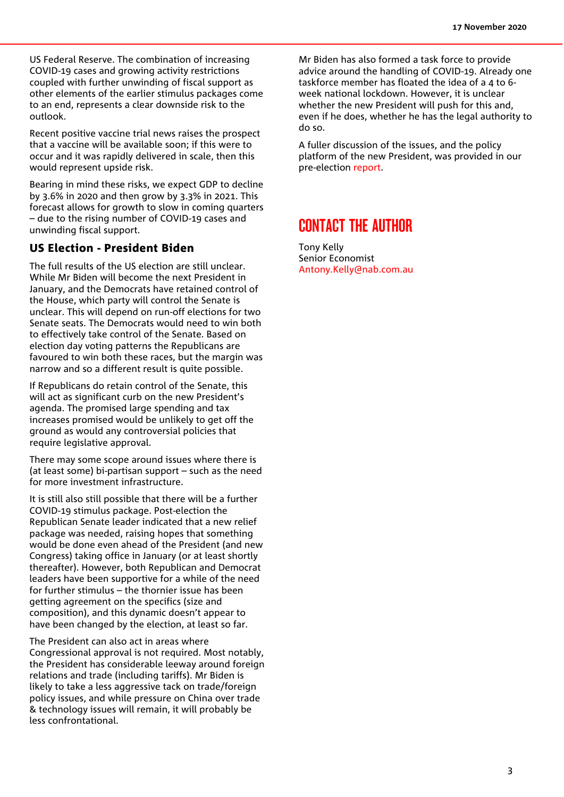US Federal Reserve. The combination of increasing COVID-19 cases and growing activity restrictions coupled with further unwinding of fiscal support as other elements of the earlier stimulus packages come to an end, represents a clear downside risk to the outlook.

Recent positive vaccine trial news raises the prospect that a vaccine will be available soon; if this were to occur and it was rapidly delivered in scale, then this would represent upside risk.

Bearing in mind these risks, we expect GDP to decline by 3.6% in 2020 and then grow by 3.3% in 2021. This forecast allows for growth to slow in coming quarters – due to the rising number of COVID-19 cases and unwinding fiscal support.

### US Election - President Biden

The full results of the US election are still unclear. While Mr Biden will become the next President in January, and the Democrats have retained control of the House, which party will control the Senate is unclear. This will depend on run-off elections for two Senate seats. The Democrats would need to win both to effectively take control of the Senate. Based on election day voting patterns the Republicans are favoured to win both these races, but the margin was narrow and so a different result is quite possible.

If Republicans do retain control of the Senate, this will act as significant curb on the new President's agenda. The promised large spending and tax increases promised would be unlikely to get off the ground as would any controversial policies that require legislative approval.

There may some scope around issues where there is (at least some) bi-partisan support – such as the need for more investment infrastructure.

It is still also still possible that there will be a further COVID-19 stimulus package. Post-election the Republican Senate leader indicated that a new relief package was needed, raising hopes that something would be done even ahead of the President (and new Congress) taking office in January (or at least shortly thereafter). However, both Republican and Democrat leaders have been supportive for a while of the need for further stimulus – the thornier issue has been getting agreement on the specifics (size and composition), and this dynamic doesn't appear to have been changed by the election, at least so far.

The President can also act in areas where Congressional approval is not required. Most notably, the President has considerable leeway around foreign relations and trade (including tariffs). Mr Biden is likely to take a less aggressive tack on trade/foreign policy issues, and while pressure on China over trade & technology issues will remain, it will probably be less confrontational.

Mr Biden has also formed a task force to provide advice around the handling of COVID-19. Already one taskforce member has floated the idea of a 4 to 6 week national lockdown. However, it is unclear whether the new President will push for this and, even if he does, whether he has the legal authority to do so.

A fuller discussion of the issues, and the policy platform of the new President, was provided in our pre-election [report.](https://business.nab.com.au/us-presidential-election-us-economic-update-october-2020-43202/)

# CONTACT THE AUTHOR

Tony Kelly Senior Economist [Antony.Kelly@nab.com.au](mailto:Antony.Kelly@nab.com.au)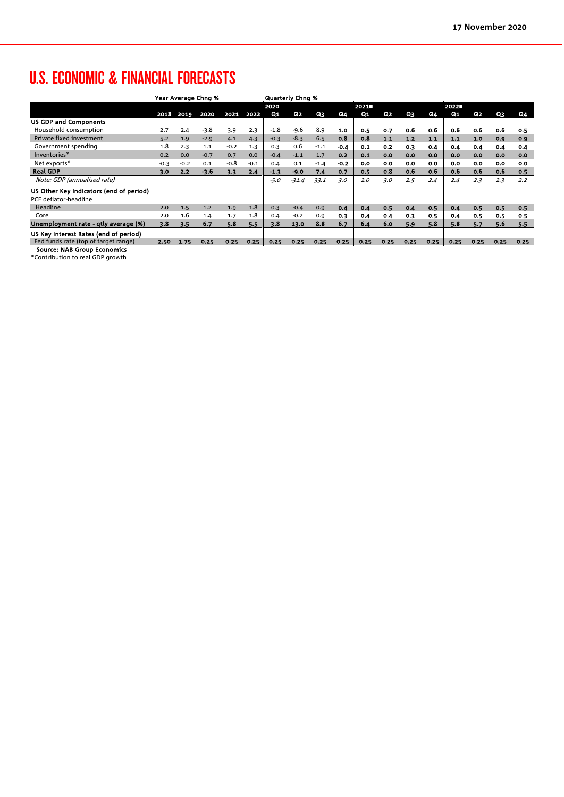# U.S. ECONOMIC & FINANCIAL FORECASTS

|                                         | Year Average Chng % |        |        |        |        | <b>Quarterly Chng %</b> |                |        |        |       |      |      |      |       |                |      |      |
|-----------------------------------------|---------------------|--------|--------|--------|--------|-------------------------|----------------|--------|--------|-------|------|------|------|-------|----------------|------|------|
|                                         |                     |        |        |        |        | 2020                    |                |        |        | 2021  |      |      | 2022 |       |                |      |      |
|                                         | 2018                | 2019   | 2020   | 2021   | 2022   | Q <sub>1</sub>          | Q <sub>2</sub> | Q3     | Q4     | $Q_1$ | Q2   | Q3   | Q4   | $Q_1$ | Q <sub>2</sub> | Q3   | Q4   |
| <b>US GDP and Components</b>            |                     |        |        |        |        |                         |                |        |        |       |      |      |      |       |                |      |      |
| Household consumption                   | 2.7                 | 2.4    | $-3.8$ | 3.9    | 2.3    | $-1.8$                  | $-9.6$         | 8.9    | 1.0    | 0.5   | 0.7  | 0.6  | 0.6  | 0.6   | 0.6            | 0.6  | 0.5  |
| Private fixed investment                | 5.2                 | 1.9    | $-2.9$ | 4.1    | 4.3    | $-0.3$                  | $-8.3$         | 6.5    | 0.8    | 0.8   | 1.1  | 1.2  | 1.1  | 1.1   | 1.0            | 0.9  | 0.9  |
| Government spending                     | 1.8                 | 2.3    | 1.1    | $-0.2$ | 1.3    | 0.3                     | 0.6            | $-1.1$ | $-0.4$ | 0.1   | 0.2  | 0.3  | 0.4  | 0.4   | 0.4            | 0.4  | 0.4  |
| Inventories*                            | 0.2                 | 0.0    | $-0.7$ | 0.7    | 0.0    | $-0.4$                  | $-1.1$         | 1.7    | 0.2    | 0.1   | 0.0  | 0.0  | 0.0  | 0.0   | 0.0            | 0.0  | 0.0  |
| Net exports*                            | $-0.3$              | $-0.2$ | 0.1    | $-0.8$ | $-0.1$ | 0.4                     | 0.1            | $-1.4$ | $-0.2$ | 0.0   | 0.0  | 0.0  | 0.0  | 0.0   | 0.0            | 0.0  | 0.0  |
| <b>Real GDP</b>                         | 3.0                 | 2.2    | -3.6   | 3.3    | 2.4    | $-1.3$                  | $-9.0$         | 7.4    | 0.7    | 0.5   | 0.8  | 0.6  | 0.6  | 0.6   | 0.6            | 0.6  | 0.5  |
| Note: GDP (annualised rate)             |                     |        |        |        |        | $-5.0$                  | $-31.4$        | 33.1   | 3.0    | 2.0   | 3.0  | 2.5  | 2.4  | 2.4   | 2.3            | 2.3  | 2.2  |
| US Other Key Indicators (end of period) |                     |        |        |        |        |                         |                |        |        |       |      |      |      |       |                |      |      |
| PCE deflator-headline                   |                     |        |        |        |        |                         |                |        |        |       |      |      |      |       |                |      |      |
| Headline                                | 2.0                 | 1.5    | 1.2    | 1.9    | 1.8    | 0.3                     | $-0.4$         | 0.9    | 0.4    | 0.4   | 0.5  | 0.4  | 0.5  | 0.4   | 0.5            | 0.5  | 0.5  |
| Core                                    | 2.0                 | 1.6    | 1.4    | 1.7    | 1.8    | 0.4                     | $-0.2$         | 0.9    | 0.3    | 0.4   | 0.4  | 0.3  | 0.5  | 0.4   | 0.5            | 0.5  | 0.5  |
| Unemployment rate - gtly average (%)    | 3.8                 | 3.5    | 6.7    | 5.8    | 5.5    | 3.8                     | 13.0           | 8.8    | 6.7    | 6.4   | 6.0  | 5.9  | 5.8  | 5.8   | 5.7            | 5.6  | 5.5  |
| US Key Interest Rates (end of period)   |                     |        |        |        |        |                         |                |        |        |       |      |      |      |       |                |      |      |
| Fed funds rate (top of target range)    | 2.50                | 1.75   | 0.25   | 0.25   | 0.25   | 0.25                    | 0.25           | 0.25   | 0.25   | 0.25  | 0.25 | 0.25 | 0.25 | 0.25  | 0.25           | 0.25 | 0.25 |
| <b>Source: NAB Group Economics</b>      |                     |        |        |        |        |                         |                |        |        |       |      |      |      |       |                |      |      |

\*Contribution to real GDP growth